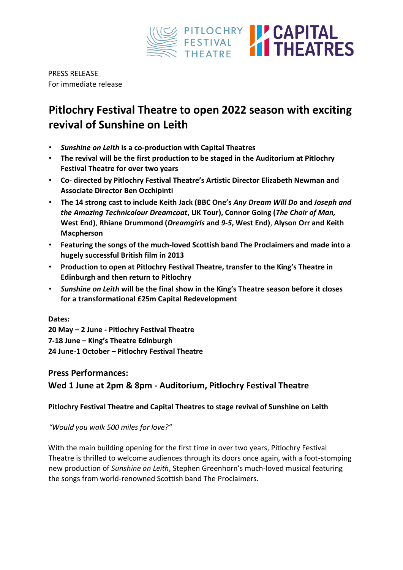

PRESS RELEASE For immediate release

# **Pitlochry Festival Theatre to open 2022 season with exciting revival of Sunshine on Leith**

- *Sunshine on Leith* **is a co-production with Capital Theatres**
- **The revival will be the first production to be staged in the Auditorium at Pitlochry Festival Theatre for over two years**
- **Co- directed by Pitlochry Festival Theatre's Artistic Director Elizabeth Newman and Associate Director Ben Occhipinti**
- **The 14 strong cast to include Keith Jack (BBC One's** *Any Dream Will Do* **and** *Joseph and the Amazing Technicolour Dreamcoat***, UK Tour), Connor Going (***The Choir of Man,*  **West End)**, **Rhiane Drummond (***Dreamgirls* **and** *9-5***, West End)**, **Alyson Orr and Keith Macpherson**
- **Featuring the songs of the much-loved Scottish band The Proclaimers and made into a hugely successful British film in 2013**
- **Production to open at Pitlochry Festival Theatre, transfer to the King's Theatre in Edinburgh and then return to Pitlochry**
- *Sunshine on Leith* **will be the final show in the King's Theatre season before it closes for a transformational £25m Capital Redevelopment**

## **Dates:**

**20 May – 2 June - Pitlochry Festival Theatre 7-18 June – King's Theatre Edinburgh 24 June-1 October – Pitlochry Festival Theatre** 

# **Press Performances:**

**Wed 1 June at 2pm & 8pm - Auditorium, Pitlochry Festival Theatre** 

# **Pitlochry Festival Theatre and Capital Theatres to stage revival of Sunshine on Leith**

*"Would you walk 500 miles for love?"* 

With the main building opening for the first time in over two years, Pitlochry Festival Theatre is thrilled to welcome audiences through its doors once again, with a foot-stomping new production of *Sunshine on Leith*, Stephen Greenhorn's much-loved musical featuring the songs from world-renowned Scottish band The Proclaimers.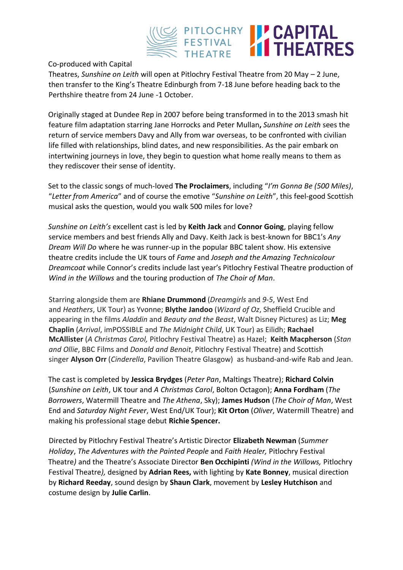

### Co-produced with Capital

Theatres, *Sunshine on Leith* will open at Pitlochry Festival Theatre from 20 May – 2 June, then transfer to the King's Theatre Edinburgh from 7-18 June before heading back to the Perthshire theatre from 24 June -1 October.

Originally staged at Dundee Rep in 2007 before being transformed in to the 2013 smash hit feature film adaptation starring Jane Horrocks and Peter Mullan**,** *Sunshine on Leith* sees the return of service members Davy and Ally from war overseas, to be confronted with civilian life filled with relationships, blind dates, and new responsibilities. As the pair embark on intertwining journeys in love, they begin to question what home really means to them as they rediscover their sense of identity.

Set to the classic songs of much-loved **The Proclaimers**, including "*I'm Gonna Be (500 Miles)*, "*Letter from America*" and of course the emotive "*Sunshine on Leith*", this feel-good Scottish musical asks the question, would you walk 500 miles for love?

*Sunshine on Leith's* excellent cast is led by **Keith Jack** and **Connor Going**, playing fellow service members and best friends Ally and Davy. Keith Jack is best-known for BBC1's *Any Dream Will Do* where he was runner-up in the popular BBC talent show. His extensive theatre credits include the UK tours of *Fame* and *Joseph and the Amazing Technicolour Dreamcoat* while Connor's credits include last year's Pitlochry Festival Theatre production of *Wind in the Willows* and the touring production of *The Choir of Man*.

Starring alongside them are **Rhiane Drummond** (*Dreamgirls* and *9-5*, West End and *Heathers*, UK Tour) as Yvonne; **Blythe Jandoo** (*Wizard of Oz*, Sheffield Crucible and appearing in the films *Aladdin* and *Beauty and the Beast*, Walt Disney Pictures) as Liz; **Meg Chaplin** (*Arrival*, imPOSSIBLE and *The Midnight Child*, UK Tour) as Eilidh; **Rachael McAllister** (*A Christmas Carol,* Pitlochry Festival Theatre) as Hazel; **Keith Macpherson** (*Stan and Ollie*, BBC Films and *Donald and Benoit*, Pitlochry Festival Theatre) and Scottish singer **Alyson Orr** (*Cinderella*, Pavilion Theatre Glasgow) as husband-and-wife Rab and Jean.

The cast is completed by **Jessica Brydges** (*Peter Pan*, Maltings Theatre); **Richard Colvin** (*Sunshine on Leith*, UK tour and *A Christmas Carol*, Bolton Octagon); **Anna Fordham** (*The Borrowers*, Watermill Theatre and *The Athena*, Sky); **James Hudson** (*The Choir of Man*, West End and *Saturday Night Fever*, West End/UK Tour); **Kit Orton** (*Oliver*, Watermill Theatre) and making his professional stage debut **Richie Spencer.** 

Directed by Pitlochry Festival Theatre's Artistic Director **Elizabeth Newman** (*Summer Holiday*, *The Adventures with the Painted People* and *Faith Healer,* Pitlochry Festival Theatre*)* and the Theatre's Associate Director **Ben Occhipinti** *(Wind in the Willows,* Pitlochry Festival Theatre*),* designed by **Adrian Rees,** with lighting by **Kate Bonney**, musical direction by **Richard Reeday**, sound design by **Shaun Clark**, movement by **Lesley Hutchison** and costume design by **Julie Carlin**.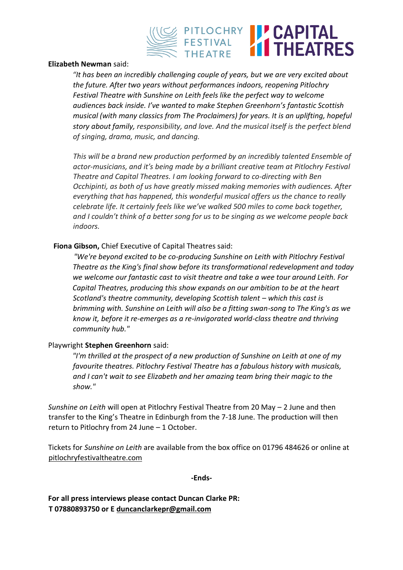

#### **Elizabeth Newman** said:

*"It has been an incredibly challenging couple of years, but we are very excited about the future. After two years without performances indoors, reopening Pitlochry Festival Theatre with Sunshine on Leith feels like the perfect way to welcome audiences back inside. I've wanted to make Stephen Greenhorn's fantastic Scottish musical (with many classics from The Proclaimers) for years. It is an uplifting, hopeful story about family, responsibility, and love. And the musical itself is the perfect blend of singing, drama, music, and dancing.* 

*This will be a brand new production performed by an incredibly talented Ensemble of actor-musicians, and it's being made by a brilliant creative team at Pitlochry Festival Theatre and Capital Theatres. I am looking forward to co-directing with Ben Occhipinti, as both of us have greatly missed making memories with audiences. After everything that has happened, this wonderful musical offers us the chance to really celebrate life. It certainly feels like we've walked 500 miles to come back together, and I couldn't think of a better song for us to be singing as we welcome people back indoors.* 

## **Fiona Gibson,** Chief Executive of Capital Theatres said:

*"We're beyond excited to be co-producing Sunshine on Leith with Pitlochry Festival Theatre as the King's final show before its transformational redevelopment and today we welcome our fantastic cast to visit theatre and take a wee tour around Leith. For Capital Theatres, producing this show expands on our ambition to be at the heart Scotland's theatre community, developing Scottish talent – which this cast is brimming with. Sunshine on Leith will also be a fitting swan-song to The King's as we know it, before it re-emerges as a re-invigorated world-class theatre and thriving community hub."*

#### Playwright **Stephen Greenhorn** said:

*"I'm thrilled at the prospect of a new production of Sunshine on Leith at one of my favourite theatres. Pitlochry Festival Theatre has a fabulous history with musicals, and I can't wait to see Elizabeth and her amazing team bring their magic to the show."* 

*Sunshine on Leith* will open at Pitlochry Festival Theatre from 20 May – 2 June and then transfer to the King's Theatre in Edinburgh from the 7-18 June. The production will then return to Pitlochry from 24 June – 1 October.

Tickets for *Sunshine on Leith* are available from the box office on 01796 484626 or online at [pitlochryfestivaltheatre.com](http://www.pitlochryfestivaltheatre.com/)

**-Ends-**

**For all press interviews please contact Duncan Clarke PR: T 07880893750 or E duncanclarkepr@gmail.com**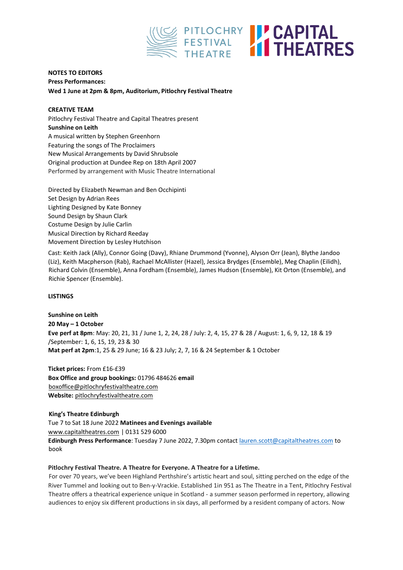

#### **NOTES TO EDITORS Press Performances: Wed 1 June at 2pm & 8pm, Auditorium, Pitlochry Festival Theatre**

**CREATIVE TEAM**  Pitlochry Festival Theatre and Capital Theatres present **Sunshine on Leith**  A musical written by Stephen Greenhorn Featuring the songs of The Proclaimers New Musical Arrangements by David Shrubsole Original production at Dundee Rep on 18th April 2007 Performed by arrangement with Music Theatre International

Directed by Elizabeth Newman and Ben Occhipinti Set Design by Adrian Rees Lighting Designed by Kate Bonney Sound Design by Shaun Clark Costume Design by Julie Carlin Musical Direction by Richard Reeday Movement Direction by Lesley Hutchison

Cast: Keith Jack (Ally), Connor Going (Davy), Rhiane Drummond (Yvonne), Alyson Orr (Jean), Blythe Jandoo (Liz), Keith Macpherson (Rab), Rachael McAllister (Hazel), Jessica Brydges (Ensemble), Meg Chaplin (Eilidh), Richard Colvin (Ensemble), Anna Fordham (Ensemble), James Hudson (Ensemble), Kit Orton (Ensemble), and Richie Spencer (Ensemble).

#### **LISTINGS**

**Sunshine on Leith 20 May – 1 October Eve perf at 8pm**: May: 20, 21, 31 / June 1, 2, 24, 28 / July: 2, 4, 15, 27 & 28 / August: 1, 6, 9, 12, 18 & 19 /September: 1, 6, 15, 19, 23 & 30 **Mat perf at 2pm**:1, 25 & 29 June; 16 & 23 July; 2, 7, 16 & 24 September & 1 October

**Ticket prices:** From £16-£39 **Box Office and group bookings:** 01796 484626 **email**  boxoffice@pitlochryfestivaltheatre.com **Website[:](http://www.pitlochryfestivaltheatre.com/)** [pitlochryfestivaltheatre.com](http://www.pitlochryfestivaltheatre.com/)

**King's Theatre Edinburgh**  Tue 7 to Sat 18 June 2022 **Matinees and Evenings available**  [www.capitaltheatres.com](http://www.capitaltheatres.com/) | 0131 529 6000 **Edinburgh Press Performance**: Tuesday 7 June 2022, 7.30pm contact lauren.scott@capitaltheatres.com to book

#### **Pitlochry Festival Theatre. A Theatre for Everyone. A Theatre for a Lifetime.**

For over 70 years, we've been Highland Perthshire's artistic heart and soul, sitting perched on the edge of the River Tummel and looking out to Ben-y-Vrackie. Established 1in 951 as The Theatre in a Tent, Pitlochry Festival Theatre offers a theatrical experience unique in Scotland - a summer season performed in repertory, allowing audiences to enjoy six different productions in six days, all performed by a resident company of actors. Now